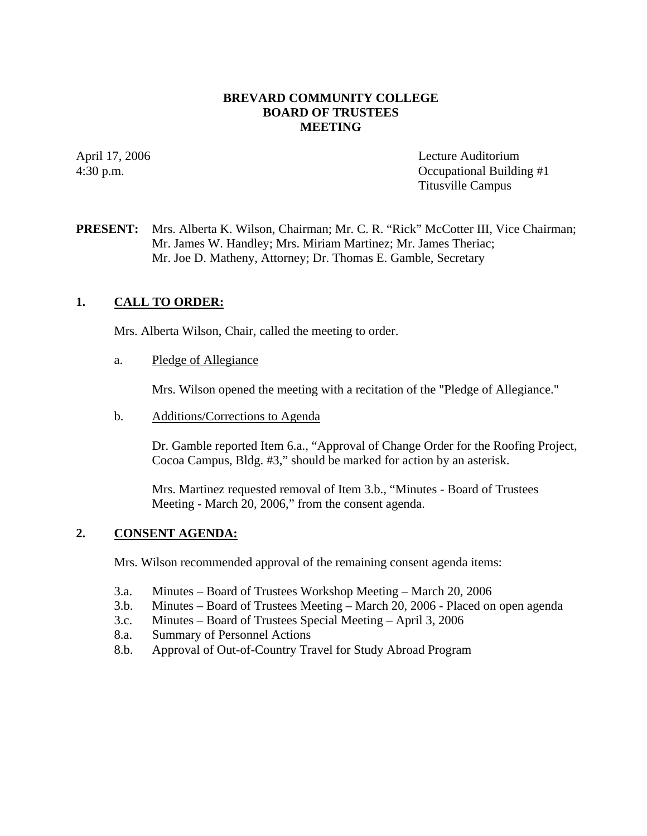### **BREVARD COMMUNITY COLLEGE BOARD OF TRUSTEES MEETING**

April 17, 2006 Lecture Auditorium 4:30 p.m. Occupational Building #1 Titusville Campus

### **PRESENT:** Mrs. Alberta K. Wilson, Chairman; Mr. C. R. "Rick" McCotter III, Vice Chairman; Mr. James W. Handley; Mrs. Miriam Martinez; Mr. James Theriac; Mr. Joe D. Matheny, Attorney; Dr. Thomas E. Gamble, Secretary

## **1. CALL TO ORDER:**

Mrs. Alberta Wilson, Chair, called the meeting to order.

#### a. Pledge of Allegiance

Mrs. Wilson opened the meeting with a recitation of the "Pledge of Allegiance."

b. Additions/Corrections to Agenda

Dr. Gamble reported Item 6.a., "Approval of Change Order for the Roofing Project, Cocoa Campus, Bldg. #3," should be marked for action by an asterisk.

Mrs. Martinez requested removal of Item 3.b., "Minutes - Board of Trustees Meeting - March 20, 2006," from the consent agenda.

### **2. CONSENT AGENDA:**

Mrs. Wilson recommended approval of the remaining consent agenda items:

- 3.a. Minutes Board of Trustees Workshop Meeting March 20, 2006
- 3.b. Minutes Board of Trustees Meeting March 20, 2006 Placed on open agenda
- 3.c. Minutes Board of Trustees Special Meeting April 3, 2006
- 8.a. Summary of Personnel Actions
- 8.b. Approval of Out-of-Country Travel for Study Abroad Program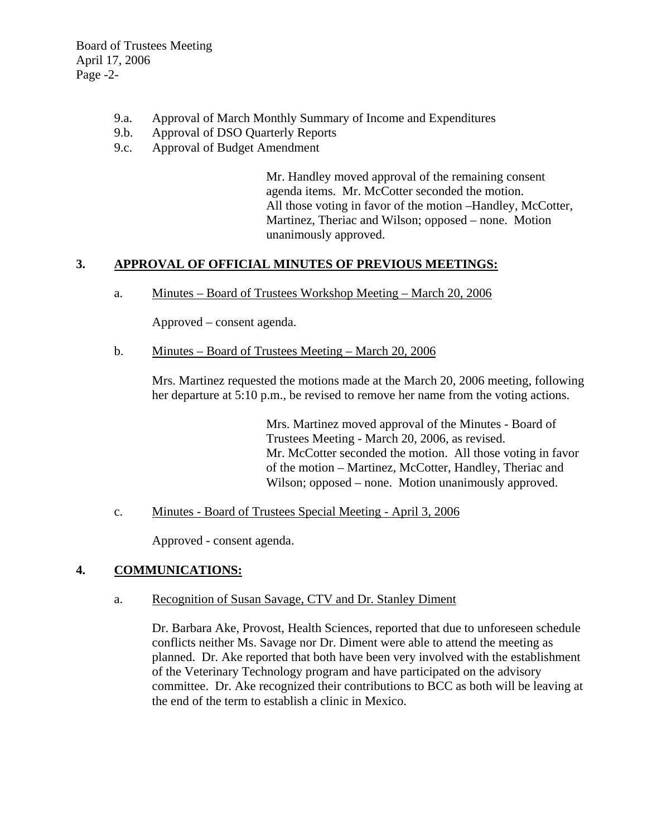Board of Trustees Meeting April 17, 2006 Page -2-

- 9.a. Approval of March Monthly Summary of Income and Expenditures
- 9.b. Approval of DSO Quarterly Reports
- 9.c. Approval of Budget Amendment

Mr. Handley moved approval of the remaining consent agenda items. Mr. McCotter seconded the motion. All those voting in favor of the motion –Handley, McCotter, Martinez, Theriac and Wilson; opposed – none. Motion unanimously approved.

## **3. APPROVAL OF OFFICIAL MINUTES OF PREVIOUS MEETINGS:**

a. Minutes – Board of Trustees Workshop Meeting – March 20, 2006

Approved – consent agenda.

b. Minutes – Board of Trustees Meeting – March 20, 2006

Mrs. Martinez requested the motions made at the March 20, 2006 meeting, following her departure at 5:10 p.m., be revised to remove her name from the voting actions.

> Mrs. Martinez moved approval of the Minutes - Board of Trustees Meeting - March 20, 2006, as revised. Mr. McCotter seconded the motion. All those voting in favor of the motion – Martinez, McCotter, Handley, Theriac and Wilson; opposed – none. Motion unanimously approved.

c. Minutes - Board of Trustees Special Meeting - April 3, 2006

Approved - consent agenda.

### **4. COMMUNICATIONS:**

a. Recognition of Susan Savage, CTV and Dr. Stanley Diment

Dr. Barbara Ake, Provost, Health Sciences, reported that due to unforeseen schedule conflicts neither Ms. Savage nor Dr. Diment were able to attend the meeting as planned. Dr. Ake reported that both have been very involved with the establishment of the Veterinary Technology program and have participated on the advisory committee. Dr. Ake recognized their contributions to BCC as both will be leaving at the end of the term to establish a clinic in Mexico.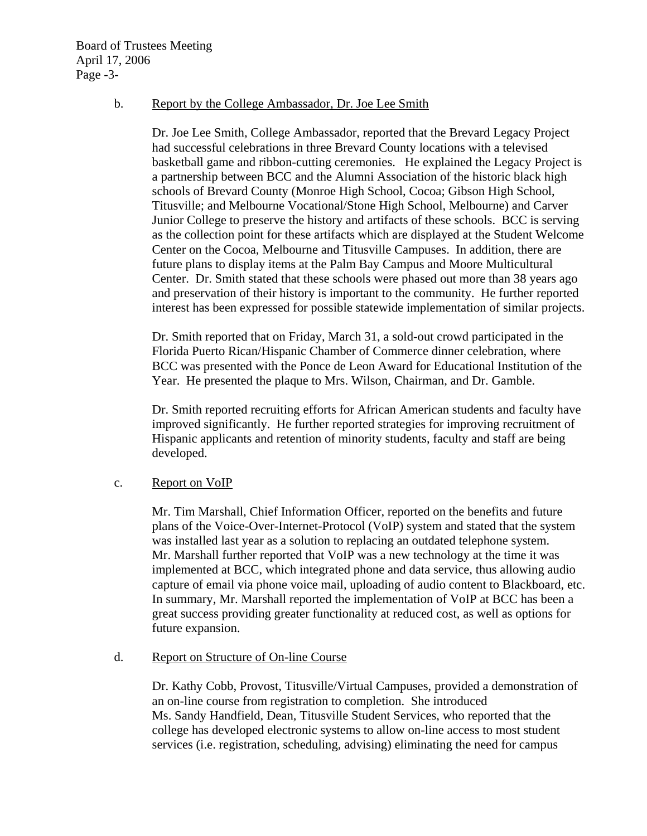#### b. Report by the College Ambassador, Dr. Joe Lee Smith

Dr. Joe Lee Smith, College Ambassador, reported that the Brevard Legacy Project had successful celebrations in three Brevard County locations with a televised basketball game and ribbon-cutting ceremonies. He explained the Legacy Project is a partnership between BCC and the Alumni Association of the historic black high schools of Brevard County (Monroe High School, Cocoa; Gibson High School, Titusville; and Melbourne Vocational/Stone High School, Melbourne) and Carver Junior College to preserve the history and artifacts of these schools. BCC is serving as the collection point for these artifacts which are displayed at the Student Welcome Center on the Cocoa, Melbourne and Titusville Campuses. In addition, there are future plans to display items at the Palm Bay Campus and Moore Multicultural Center. Dr. Smith stated that these schools were phased out more than 38 years ago and preservation of their history is important to the community. He further reported interest has been expressed for possible statewide implementation of similar projects.

Dr. Smith reported that on Friday, March 31, a sold-out crowd participated in the Florida Puerto Rican/Hispanic Chamber of Commerce dinner celebration, where BCC was presented with the Ponce de Leon Award for Educational Institution of the Year. He presented the plaque to Mrs. Wilson, Chairman, and Dr. Gamble.

Dr. Smith reported recruiting efforts for African American students and faculty have improved significantly. He further reported strategies for improving recruitment of Hispanic applicants and retention of minority students, faculty and staff are being developed.

#### c. Report on VoIP

Mr. Tim Marshall, Chief Information Officer, reported on the benefits and future plans of the Voice-Over-Internet-Protocol (VoIP) system and stated that the system was installed last year as a solution to replacing an outdated telephone system. Mr. Marshall further reported that VoIP was a new technology at the time it was implemented at BCC, which integrated phone and data service, thus allowing audio capture of email via phone voice mail, uploading of audio content to Blackboard, etc. In summary, Mr. Marshall reported the implementation of VoIP at BCC has been a great success providing greater functionality at reduced cost, as well as options for future expansion.

### d. Report on Structure of On-line Course

Dr. Kathy Cobb, Provost, Titusville/Virtual Campuses, provided a demonstration of an on-line course from registration to completion. She introduced Ms. Sandy Handfield, Dean, Titusville Student Services, who reported that the college has developed electronic systems to allow on-line access to most student services (i.e. registration, scheduling, advising) eliminating the need for campus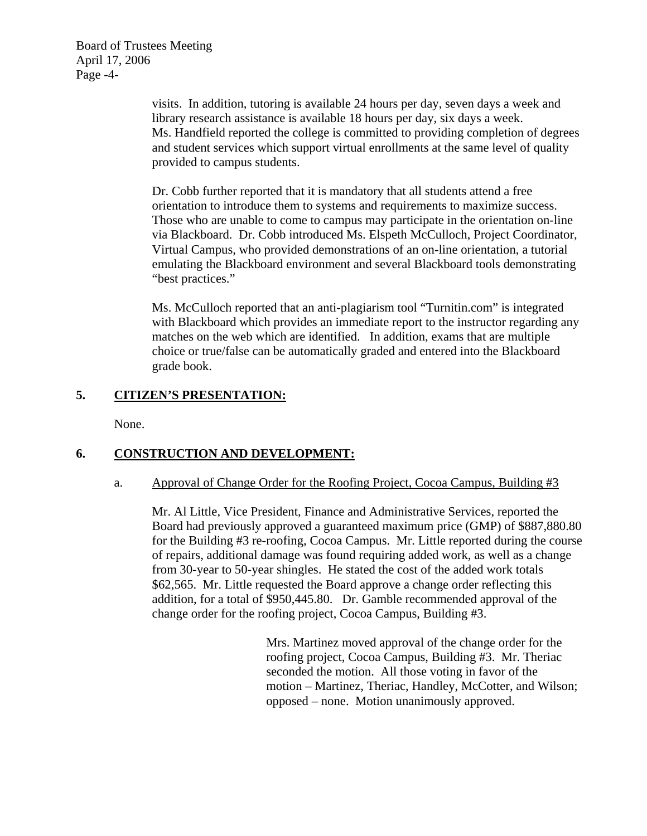Board of Trustees Meeting April 17, 2006 Page -4-

> visits. In addition, tutoring is available 24 hours per day, seven days a week and library research assistance is available 18 hours per day, six days a week. Ms. Handfield reported the college is committed to providing completion of degrees and student services which support virtual enrollments at the same level of quality provided to campus students.

> Dr. Cobb further reported that it is mandatory that all students attend a free orientation to introduce them to systems and requirements to maximize success. Those who are unable to come to campus may participate in the orientation on-line via Blackboard. Dr. Cobb introduced Ms. Elspeth McCulloch, Project Coordinator, Virtual Campus, who provided demonstrations of an on-line orientation, a tutorial emulating the Blackboard environment and several Blackboard tools demonstrating "best practices."

> Ms. McCulloch reported that an anti-plagiarism tool "Turnitin.com" is integrated with Blackboard which provides an immediate report to the instructor regarding any matches on the web which are identified. In addition, exams that are multiple choice or true/false can be automatically graded and entered into the Blackboard grade book.

## **5. CITIZEN'S PRESENTATION:**

None.

## **6. CONSTRUCTION AND DEVELOPMENT:**

#### a. Approval of Change Order for the Roofing Project, Cocoa Campus, Building #3

Mr. Al Little, Vice President, Finance and Administrative Services, reported the Board had previously approved a guaranteed maximum price (GMP) of \$887,880.80 for the Building #3 re-roofing, Cocoa Campus. Mr. Little reported during the course of repairs, additional damage was found requiring added work, as well as a change from 30-year to 50-year shingles. He stated the cost of the added work totals \$62,565. Mr. Little requested the Board approve a change order reflecting this addition, for a total of \$950,445.80. Dr. Gamble recommended approval of the change order for the roofing project, Cocoa Campus, Building #3.

> Mrs. Martinez moved approval of the change order for the roofing project, Cocoa Campus, Building #3. Mr. Theriac seconded the motion. All those voting in favor of the motion – Martinez, Theriac, Handley, McCotter, and Wilson; opposed – none. Motion unanimously approved.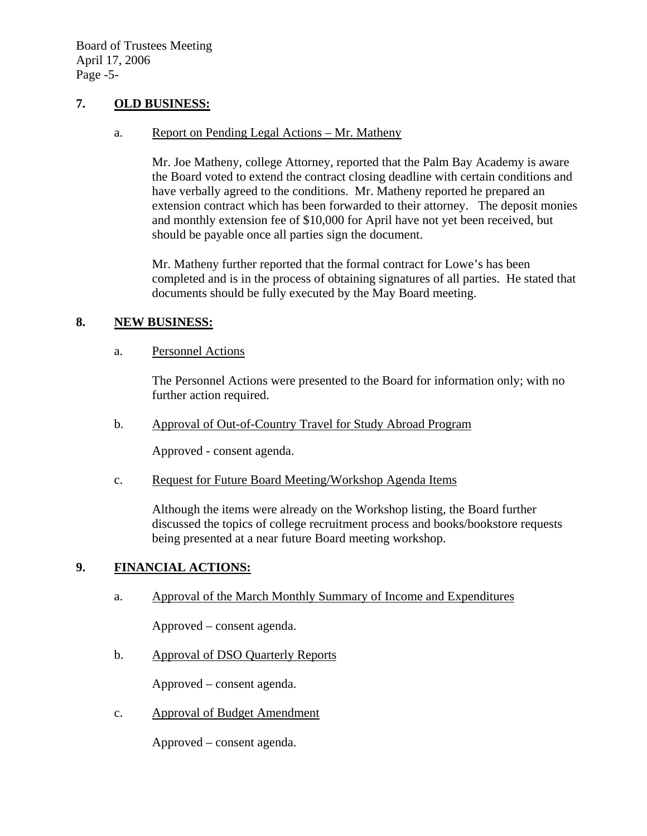### **7. OLD BUSINESS:**

#### a. Report on Pending Legal Actions – Mr. Matheny

Mr. Joe Matheny, college Attorney, reported that the Palm Bay Academy is aware the Board voted to extend the contract closing deadline with certain conditions and have verbally agreed to the conditions. Mr. Matheny reported he prepared an extension contract which has been forwarded to their attorney. The deposit monies and monthly extension fee of \$10,000 for April have not yet been received, but should be payable once all parties sign the document.

Mr. Matheny further reported that the formal contract for Lowe's has been completed and is in the process of obtaining signatures of all parties. He stated that documents should be fully executed by the May Board meeting.

## **8. NEW BUSINESS:**

### a. Personnel Actions

The Personnel Actions were presented to the Board for information only; with no further action required.

b. Approval of Out-of-Country Travel for Study Abroad Program

Approved - consent agenda.

c. Request for Future Board Meeting/Workshop Agenda Items

Although the items were already on the Workshop listing, the Board further discussed the topics of college recruitment process and books/bookstore requests being presented at a near future Board meeting workshop.

### **9. FINANCIAL ACTIONS:**

a. Approval of the March Monthly Summary of Income and Expenditures

Approved – consent agenda.

b. Approval of DSO Quarterly Reports

Approved – consent agenda.

c. Approval of Budget Amendment

Approved – consent agenda.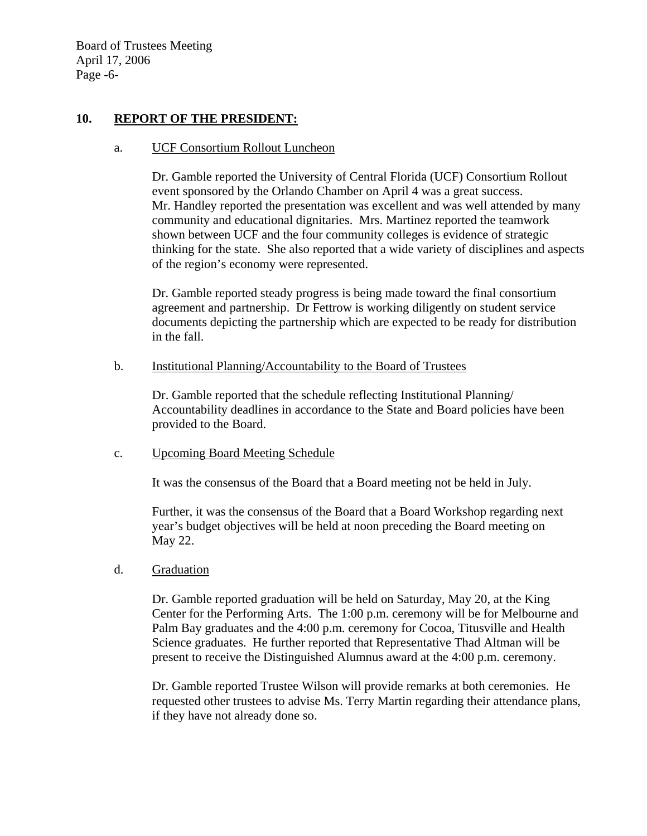Board of Trustees Meeting April 17, 2006 Page -6-

### **10. REPORT OF THE PRESIDENT:**

#### a. UCF Consortium Rollout Luncheon

Dr. Gamble reported the University of Central Florida (UCF) Consortium Rollout event sponsored by the Orlando Chamber on April 4 was a great success. Mr. Handley reported the presentation was excellent and was well attended by many community and educational dignitaries. Mrs. Martinez reported the teamwork shown between UCF and the four community colleges is evidence of strategic thinking for the state. She also reported that a wide variety of disciplines and aspects of the region's economy were represented.

Dr. Gamble reported steady progress is being made toward the final consortium agreement and partnership. Dr Fettrow is working diligently on student service documents depicting the partnership which are expected to be ready for distribution in the fall.

#### b. Institutional Planning/Accountability to the Board of Trustees

 Dr. Gamble reported that the schedule reflecting Institutional Planning/ Accountability deadlines in accordance to the State and Board policies have been provided to the Board.

### c. Upcoming Board Meeting Schedule

It was the consensus of the Board that a Board meeting not be held in July.

Further, it was the consensus of the Board that a Board Workshop regarding next year's budget objectives will be held at noon preceding the Board meeting on May 22.

### d. Graduation

Dr. Gamble reported graduation will be held on Saturday, May 20, at the King Center for the Performing Arts. The 1:00 p.m. ceremony will be for Melbourne and Palm Bay graduates and the 4:00 p.m. ceremony for Cocoa, Titusville and Health Science graduates. He further reported that Representative Thad Altman will be present to receive the Distinguished Alumnus award at the 4:00 p.m. ceremony.

Dr. Gamble reported Trustee Wilson will provide remarks at both ceremonies. He requested other trustees to advise Ms. Terry Martin regarding their attendance plans, if they have not already done so.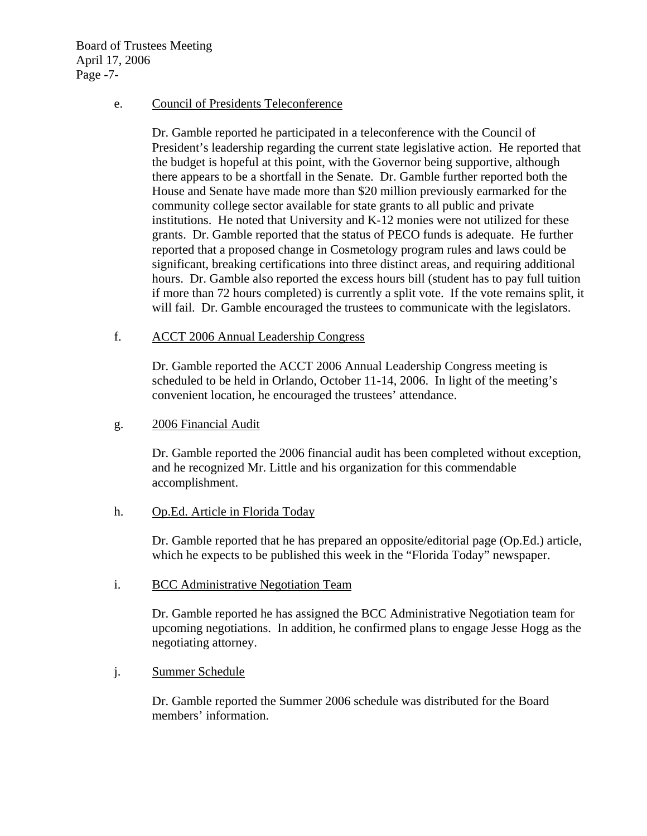Board of Trustees Meeting April 17, 2006 Page -7-

#### e. Council of Presidents Teleconference

Dr. Gamble reported he participated in a teleconference with the Council of President's leadership regarding the current state legislative action. He reported that the budget is hopeful at this point, with the Governor being supportive, although there appears to be a shortfall in the Senate. Dr. Gamble further reported both the House and Senate have made more than \$20 million previously earmarked for the community college sector available for state grants to all public and private institutions. He noted that University and K-12 monies were not utilized for these grants. Dr. Gamble reported that the status of PECO funds is adequate. He further reported that a proposed change in Cosmetology program rules and laws could be significant, breaking certifications into three distinct areas, and requiring additional hours. Dr. Gamble also reported the excess hours bill (student has to pay full tuition if more than 72 hours completed) is currently a split vote. If the vote remains split, it will fail. Dr. Gamble encouraged the trustees to communicate with the legislators.

f. ACCT 2006 Annual Leadership Congress

Dr. Gamble reported the ACCT 2006 Annual Leadership Congress meeting is scheduled to be held in Orlando, October 11-14, 2006. In light of the meeting's convenient location, he encouraged the trustees' attendance.

g. 2006 Financial Audit

Dr. Gamble reported the 2006 financial audit has been completed without exception, and he recognized Mr. Little and his organization for this commendable accomplishment.

h. Op.Ed. Article in Florida Today

Dr. Gamble reported that he has prepared an opposite/editorial page (Op.Ed.) article, which he expects to be published this week in the "Florida Today" newspaper.

i. BCC Administrative Negotiation Team

Dr. Gamble reported he has assigned the BCC Administrative Negotiation team for upcoming negotiations. In addition, he confirmed plans to engage Jesse Hogg as the negotiating attorney.

j. Summer Schedule

Dr. Gamble reported the Summer 2006 schedule was distributed for the Board members' information.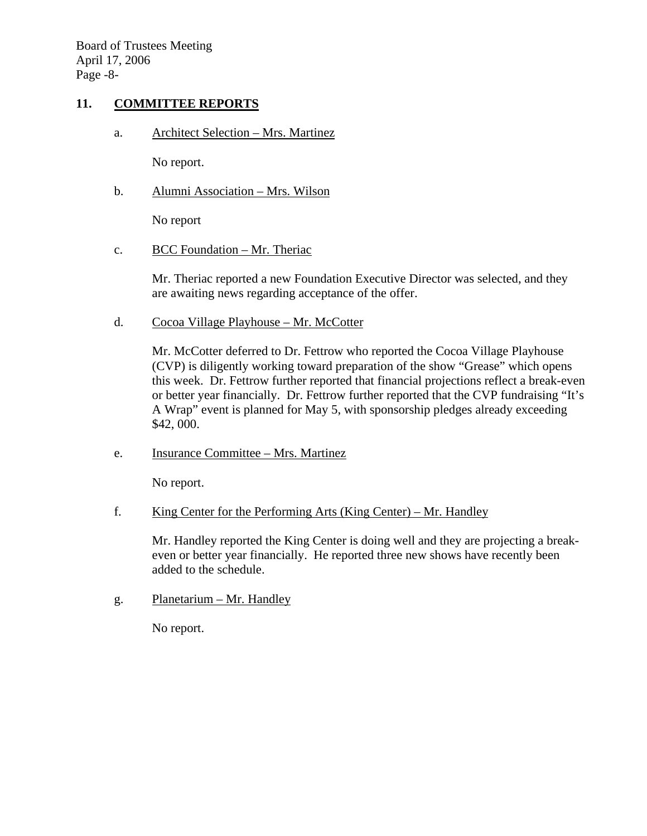Board of Trustees Meeting April 17, 2006 Page -8-

### **11. COMMITTEE REPORTS**

a. Architect Selection – Mrs. Martinez

No report.

b. Alumni Association – Mrs. Wilson

No report

c. BCC Foundation – Mr. Theriac

Mr. Theriac reported a new Foundation Executive Director was selected, and they are awaiting news regarding acceptance of the offer.

d. Cocoa Village Playhouse – Mr. McCotter

Mr. McCotter deferred to Dr. Fettrow who reported the Cocoa Village Playhouse (CVP) is diligently working toward preparation of the show "Grease" which opens this week. Dr. Fettrow further reported that financial projections reflect a break-even or better year financially. Dr. Fettrow further reported that the CVP fundraising "It's A Wrap" event is planned for May 5, with sponsorship pledges already exceeding \$42, 000.

e. Insurance Committee – Mrs. Martinez

No report.

f. King Center for the Performing Arts (King Center) – Mr. Handley

Mr. Handley reported the King Center is doing well and they are projecting a breakeven or better year financially. He reported three new shows have recently been added to the schedule.

g. Planetarium – Mr. Handley

No report.